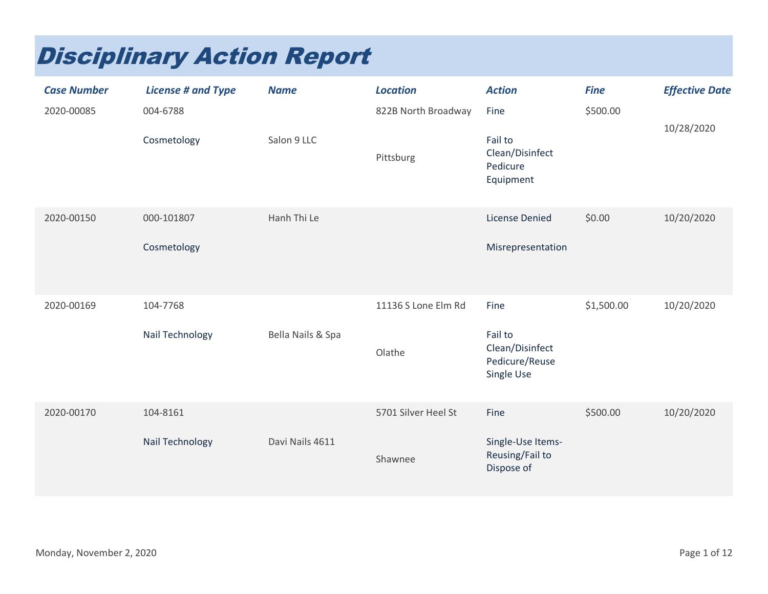## Disciplinary Action Report

| <b>Case Number</b><br>2020-00085 | <b>License # and Type</b><br>004-6788<br>Cosmetology | <b>Name</b><br>Salon 9 LLC | <b>Location</b><br>822B North Broadway<br>Pittsburg | <b>Action</b><br>Fine<br>Fail to<br>Clean/Disinfect<br>Pedicure<br>Equipment | <b>Fine</b><br>\$500.00 | <b>Effective Date</b><br>10/28/2020 |
|----------------------------------|------------------------------------------------------|----------------------------|-----------------------------------------------------|------------------------------------------------------------------------------|-------------------------|-------------------------------------|
| 2020-00150                       | 000-101807<br>Cosmetology                            | Hanh Thi Le                |                                                     | <b>License Denied</b><br>Misrepresentation                                   | \$0.00                  | 10/20/2020                          |
| 2020-00169                       | 104-7768<br>Nail Technology                          | Bella Nails & Spa          | 11136 S Lone Elm Rd<br>Olathe                       | Fine<br>Fail to<br>Clean/Disinfect<br>Pedicure/Reuse<br>Single Use           | \$1,500.00              | 10/20/2020                          |
| 2020-00170                       | 104-8161<br><b>Nail Technology</b>                   | Davi Nails 4611            | 5701 Silver Heel St<br>Shawnee                      | Fine<br>Single-Use Items-<br>Reusing/Fail to<br>Dispose of                   | \$500.00                | 10/20/2020                          |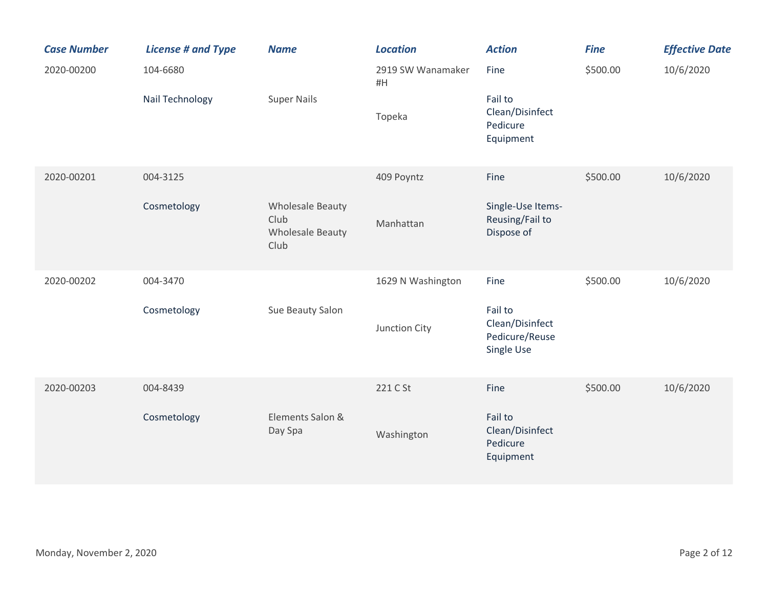| <b>Case Number</b> | <b>License # and Type</b> | <b>Name</b>                                                        | <b>Location</b>         | <b>Action</b>                                              | <b>Fine</b> | <b>Effective Date</b> |
|--------------------|---------------------------|--------------------------------------------------------------------|-------------------------|------------------------------------------------------------|-------------|-----------------------|
| 2020-00200         | 104-6680                  |                                                                    | 2919 SW Wanamaker<br>#H | Fine                                                       | \$500.00    | 10/6/2020             |
|                    | Nail Technology           | <b>Super Nails</b>                                                 | Topeka                  | Fail to<br>Clean/Disinfect<br>Pedicure<br>Equipment        |             |                       |
| 2020-00201         | 004-3125                  |                                                                    | 409 Poyntz              | Fine                                                       | \$500.00    | 10/6/2020             |
|                    | Cosmetology               | <b>Wholesale Beauty</b><br>Club<br><b>Wholesale Beauty</b><br>Club | Manhattan               | Single-Use Items-<br>Reusing/Fail to<br>Dispose of         |             |                       |
| 2020-00202         | 004-3470                  |                                                                    | 1629 N Washington       | Fine                                                       | \$500.00    | 10/6/2020             |
|                    | Cosmetology               | Sue Beauty Salon                                                   | Junction City           | Fail to<br>Clean/Disinfect<br>Pedicure/Reuse<br>Single Use |             |                       |
| 2020-00203         | 004-8439                  |                                                                    | 221 C St                | Fine                                                       | \$500.00    | 10/6/2020             |
|                    | Cosmetology               | Elements Salon &<br>Day Spa                                        | Washington              | Fail to<br>Clean/Disinfect<br>Pedicure<br>Equipment        |             |                       |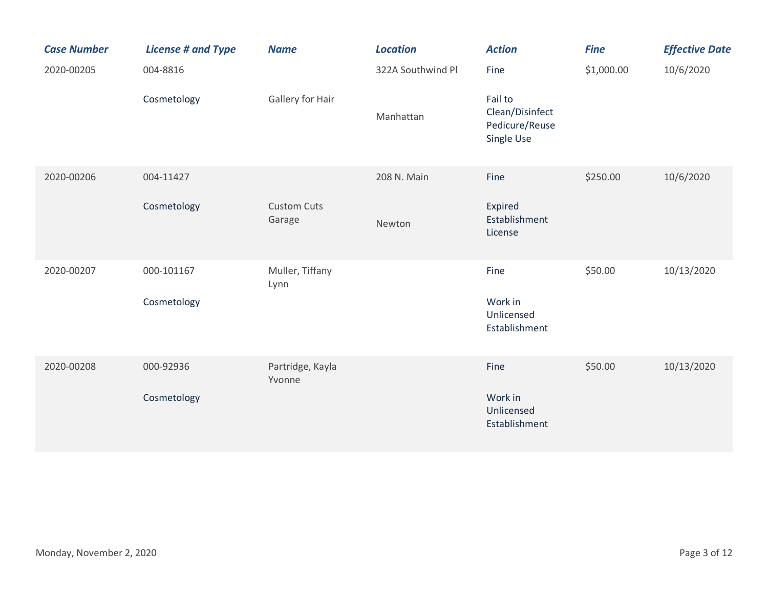| <b>Case Number</b> | <b>License # and Type</b> | <b>Name</b>                  | <b>Location</b>   | <b>Action</b>                                              | <b>Fine</b> | <b>Effective Date</b> |
|--------------------|---------------------------|------------------------------|-------------------|------------------------------------------------------------|-------------|-----------------------|
| 2020-00205         | 004-8816                  |                              | 322A Southwind Pl | Fine                                                       | \$1,000.00  | 10/6/2020             |
|                    | Cosmetology               | Gallery for Hair             | Manhattan         | Fail to<br>Clean/Disinfect<br>Pedicure/Reuse<br>Single Use |             |                       |
| 2020-00206         | 004-11427                 |                              | 208 N. Main       | Fine                                                       | \$250.00    | 10/6/2020             |
|                    | Cosmetology               | <b>Custom Cuts</b><br>Garage | Newton            | Expired<br>Establishment<br>License                        |             |                       |
| 2020-00207         | 000-101167                | Muller, Tiffany<br>Lynn      |                   | Fine                                                       | \$50.00     | 10/13/2020            |
|                    | Cosmetology               |                              |                   | Work in<br>Unlicensed<br>Establishment                     |             |                       |
| 2020-00208         | 000-92936                 | Partridge, Kayla<br>Yvonne   |                   | Fine                                                       | \$50.00     | 10/13/2020            |
|                    | Cosmetology               |                              |                   | Work in<br>Unlicensed<br>Establishment                     |             |                       |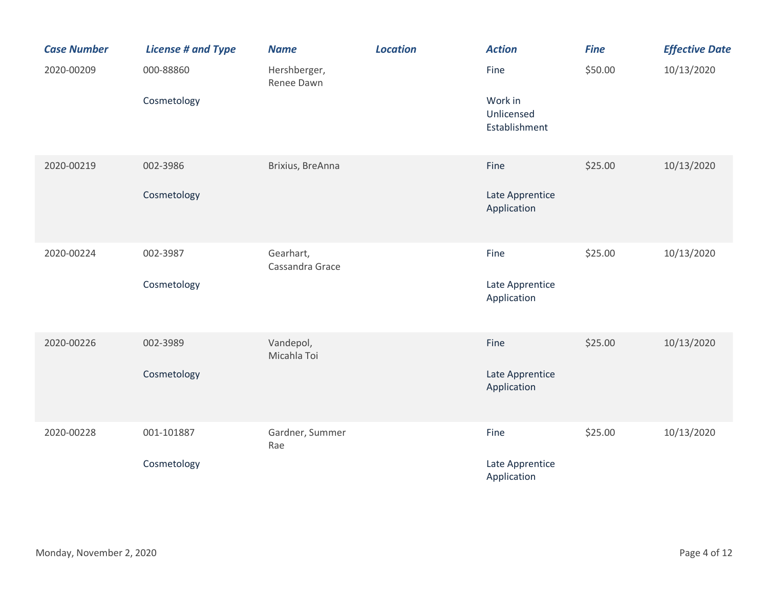| <b>Case Number</b> | <b>License # and Type</b> | <b>Name</b>                  | <b>Location</b> | <b>Action</b>                          | <b>Fine</b> | <b>Effective Date</b> |
|--------------------|---------------------------|------------------------------|-----------------|----------------------------------------|-------------|-----------------------|
| 2020-00209         | 000-88860                 | Hershberger,<br>Renee Dawn   |                 | Fine                                   | \$50.00     | 10/13/2020            |
|                    | Cosmetology               |                              |                 | Work in<br>Unlicensed<br>Establishment |             |                       |
| 2020-00219         | 002-3986                  | Brixius, BreAnna             |                 | Fine                                   | \$25.00     | 10/13/2020            |
|                    | Cosmetology               |                              |                 | Late Apprentice<br>Application         |             |                       |
| 2020-00224         | 002-3987                  | Gearhart,<br>Cassandra Grace |                 | Fine                                   | \$25.00     | 10/13/2020            |
|                    | Cosmetology               |                              |                 | Late Apprentice<br>Application         |             |                       |
| 2020-00226         | 002-3989                  | Vandepol,<br>Micahla Toi     |                 | Fine                                   | \$25.00     | 10/13/2020            |
|                    | Cosmetology               |                              |                 | Late Apprentice<br>Application         |             |                       |
| 2020-00228         | 001-101887                | Gardner, Summer<br>Rae       |                 | Fine                                   | \$25.00     | 10/13/2020            |
|                    | Cosmetology               |                              |                 | Late Apprentice<br>Application         |             |                       |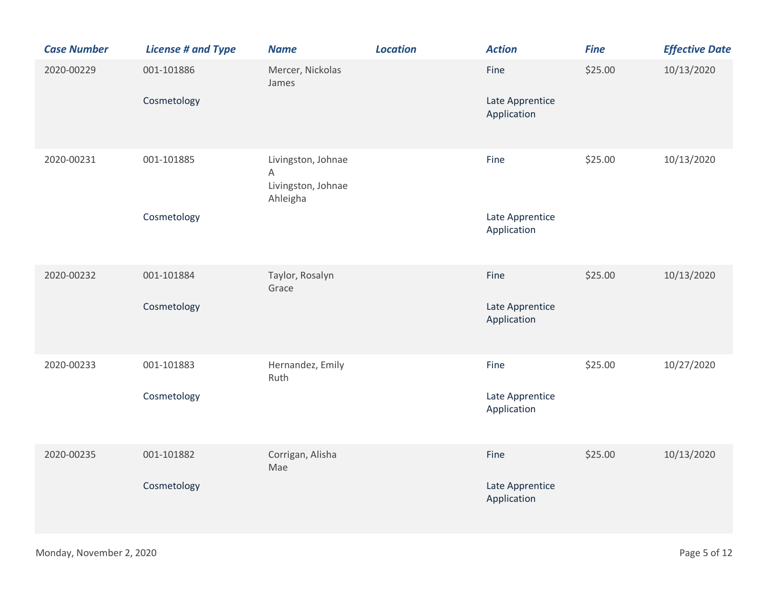| <b>Case Number</b> | <b>License # and Type</b> | <b>Name</b>                                               | <b>Location</b> | <b>Action</b>                          | <b>Fine</b> | <b>Effective Date</b> |
|--------------------|---------------------------|-----------------------------------------------------------|-----------------|----------------------------------------|-------------|-----------------------|
| 2020-00229         | 001-101886<br>Cosmetology | Mercer, Nickolas<br>James                                 |                 | Fine<br>Late Apprentice<br>Application | \$25.00     | 10/13/2020            |
| 2020-00231         | 001-101885<br>Cosmetology | Livingston, Johnae<br>A<br>Livingston, Johnae<br>Ahleigha |                 | Fine<br>Late Apprentice<br>Application | \$25.00     | 10/13/2020            |
| 2020-00232         | 001-101884<br>Cosmetology | Taylor, Rosalyn<br>Grace                                  |                 | Fine<br>Late Apprentice<br>Application | \$25.00     | 10/13/2020            |
| 2020-00233         | 001-101883<br>Cosmetology | Hernandez, Emily<br>Ruth                                  |                 | Fine<br>Late Apprentice<br>Application | \$25.00     | 10/27/2020            |
| 2020-00235         | 001-101882<br>Cosmetology | Corrigan, Alisha<br>Mae                                   |                 | Fine<br>Late Apprentice<br>Application | \$25.00     | 10/13/2020            |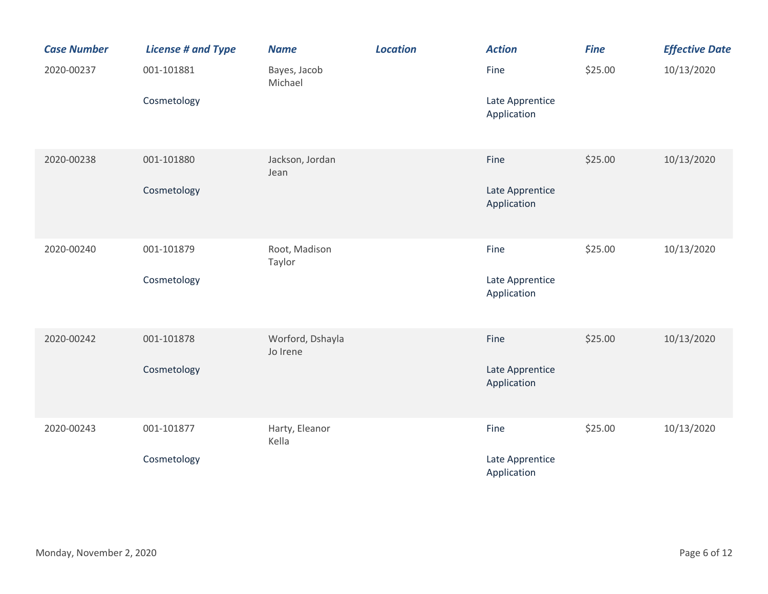| <b>Case Number</b> | <b>License # and Type</b> | <b>Name</b>                  | <b>Location</b> | <b>Action</b>                  | <b>Fine</b> | <b>Effective Date</b> |
|--------------------|---------------------------|------------------------------|-----------------|--------------------------------|-------------|-----------------------|
| 2020-00237         | 001-101881                | Bayes, Jacob<br>Michael      |                 | Fine                           | \$25.00     | 10/13/2020            |
|                    | Cosmetology               |                              |                 | Late Apprentice<br>Application |             |                       |
| 2020-00238         | 001-101880                | Jackson, Jordan<br>Jean      |                 | Fine                           | \$25.00     | 10/13/2020            |
|                    | Cosmetology               |                              |                 | Late Apprentice<br>Application |             |                       |
| 2020-00240         | 001-101879                | Root, Madison<br>Taylor      |                 | Fine                           | \$25.00     | 10/13/2020            |
|                    | Cosmetology               |                              |                 | Late Apprentice<br>Application |             |                       |
| 2020-00242         | 001-101878                | Worford, Dshayla<br>Jo Irene |                 | Fine                           | \$25.00     | 10/13/2020            |
|                    | Cosmetology               |                              |                 | Late Apprentice<br>Application |             |                       |
| 2020-00243         | 001-101877                | Harty, Eleanor<br>Kella      |                 | Fine                           | \$25.00     | 10/13/2020            |
|                    | Cosmetology               |                              |                 | Late Apprentice<br>Application |             |                       |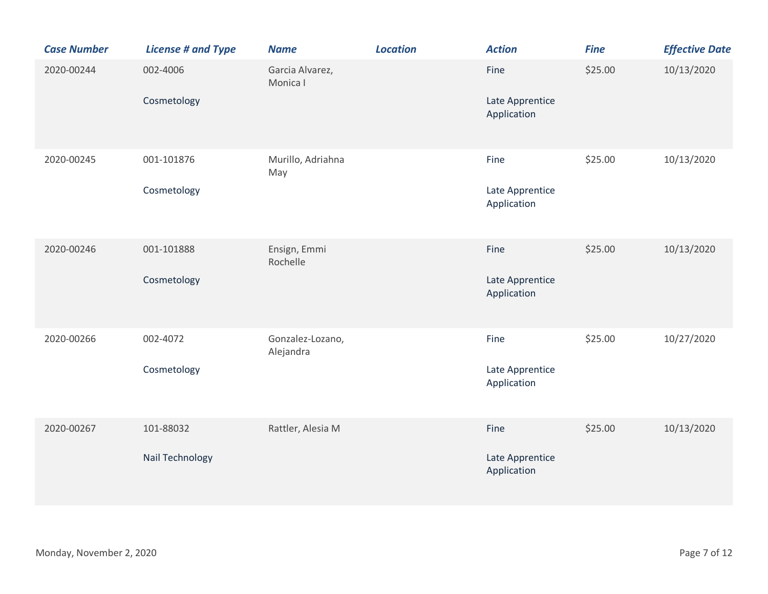| <b>Case Number</b> | <b>License # and Type</b>    | <b>Name</b>                   | <b>Location</b> | <b>Action</b>                          | <b>Fine</b> | <b>Effective Date</b> |
|--------------------|------------------------------|-------------------------------|-----------------|----------------------------------------|-------------|-----------------------|
| 2020-00244         | 002-4006<br>Cosmetology      | Garcia Alvarez,<br>Monica I   |                 | Fine<br>Late Apprentice<br>Application | \$25.00     | 10/13/2020            |
| 2020-00245         | 001-101876<br>Cosmetology    | Murillo, Adriahna<br>May      |                 | Fine<br>Late Apprentice<br>Application | \$25.00     | 10/13/2020            |
| 2020-00246         | 001-101888<br>Cosmetology    | Ensign, Emmi<br>Rochelle      |                 | Fine<br>Late Apprentice<br>Application | \$25.00     | 10/13/2020            |
| 2020-00266         | 002-4072<br>Cosmetology      | Gonzalez-Lozano,<br>Alejandra |                 | Fine<br>Late Apprentice<br>Application | \$25.00     | 10/27/2020            |
| 2020-00267         | 101-88032<br>Nail Technology | Rattler, Alesia M             |                 | Fine<br>Late Apprentice<br>Application | \$25.00     | 10/13/2020            |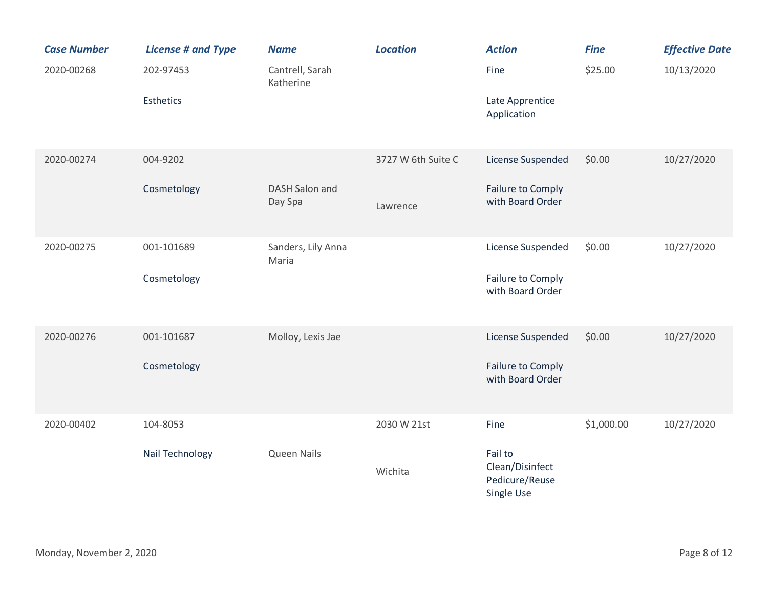| <b>Case Number</b> | <b>License # and Type</b> | <b>Name</b>                  | <b>Location</b>    | <b>Action</b>                                              | <b>Fine</b> | <b>Effective Date</b> |
|--------------------|---------------------------|------------------------------|--------------------|------------------------------------------------------------|-------------|-----------------------|
| 2020-00268         | 202-97453                 | Cantrell, Sarah<br>Katherine |                    | Fine                                                       | \$25.00     | 10/13/2020            |
|                    | Esthetics                 |                              |                    | Late Apprentice<br>Application                             |             |                       |
| 2020-00274         | 004-9202                  |                              | 3727 W 6th Suite C | License Suspended                                          | \$0.00      | 10/27/2020            |
|                    | Cosmetology               | DASH Salon and<br>Day Spa    | Lawrence           | Failure to Comply<br>with Board Order                      |             |                       |
| 2020-00275         | 001-101689                | Sanders, Lily Anna<br>Maria  |                    | License Suspended                                          | \$0.00      | 10/27/2020            |
|                    | Cosmetology               |                              |                    | Failure to Comply<br>with Board Order                      |             |                       |
| 2020-00276         | 001-101687                | Molloy, Lexis Jae            |                    | License Suspended                                          | \$0.00      | 10/27/2020            |
|                    | Cosmetology               |                              |                    | Failure to Comply<br>with Board Order                      |             |                       |
| 2020-00402         | 104-8053                  |                              | 2030 W 21st        | Fine                                                       | \$1,000.00  | 10/27/2020            |
|                    | Nail Technology           | Queen Nails                  | Wichita            | Fail to<br>Clean/Disinfect<br>Pedicure/Reuse<br>Single Use |             |                       |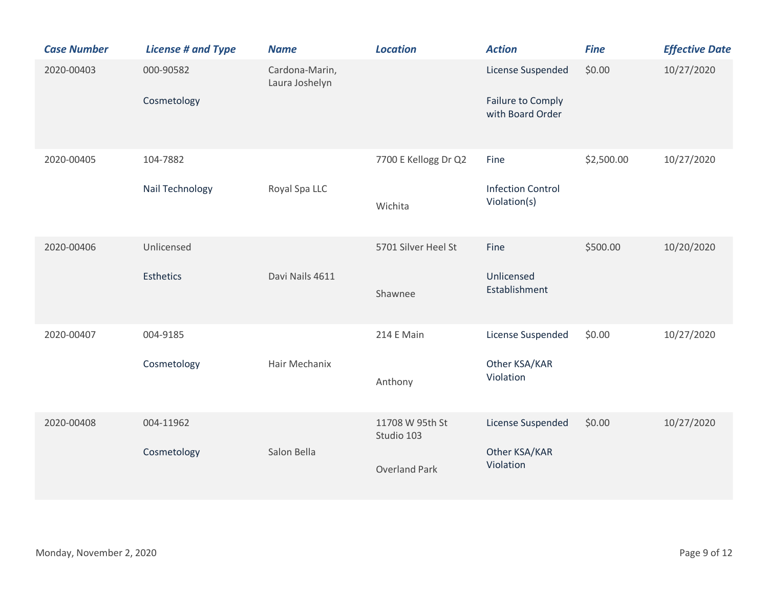| <b>Case Number</b> | <b>License # and Type</b>   | <b>Name</b>                      | <b>Location</b>                                       | <b>Action</b>                                              | <b>Fine</b> | <b>Effective Date</b> |
|--------------------|-----------------------------|----------------------------------|-------------------------------------------------------|------------------------------------------------------------|-------------|-----------------------|
| 2020-00403         | 000-90582<br>Cosmetology    | Cardona-Marin,<br>Laura Joshelyn |                                                       | License Suspended<br>Failure to Comply<br>with Board Order | \$0.00      | 10/27/2020            |
| 2020-00405         | 104-7882<br>Nail Technology | Royal Spa LLC                    | 7700 E Kellogg Dr Q2<br>Wichita                       | Fine<br><b>Infection Control</b><br>Violation(s)           | \$2,500.00  | 10/27/2020            |
| 2020-00406         | Unlicensed<br>Esthetics     | Davi Nails 4611                  | 5701 Silver Heel St<br>Shawnee                        | Fine<br>Unlicensed<br>Establishment                        | \$500.00    | 10/20/2020            |
| 2020-00407         | 004-9185<br>Cosmetology     | Hair Mechanix                    | 214 E Main<br>Anthony                                 | License Suspended<br>Other KSA/KAR<br>Violation            | \$0.00      | 10/27/2020            |
| 2020-00408         | 004-11962<br>Cosmetology    | Salon Bella                      | 11708 W 95th St<br>Studio 103<br><b>Overland Park</b> | License Suspended<br>Other KSA/KAR<br>Violation            | \$0.00      | 10/27/2020            |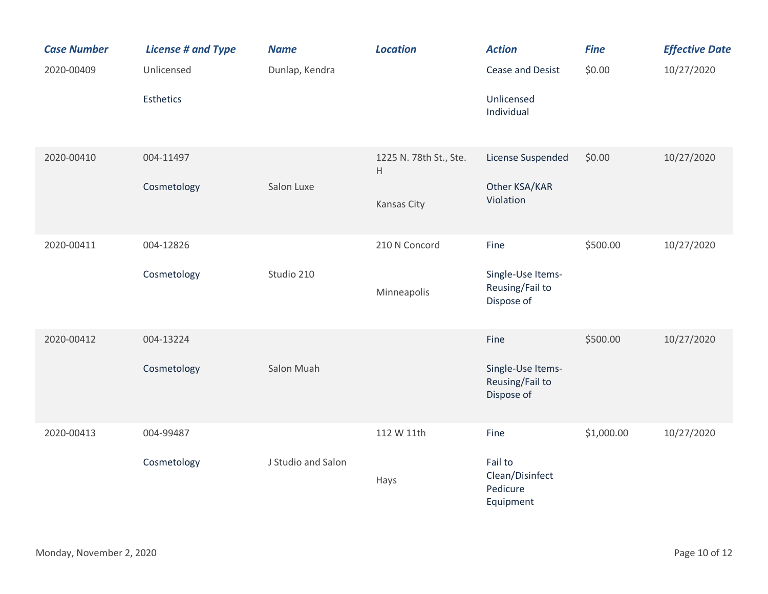| <b>Case Number</b> | <b>License # and Type</b> | <b>Name</b>        | <b>Location</b>                                     | <b>Action</b>                                       | <b>Fine</b> | <b>Effective Date</b> |
|--------------------|---------------------------|--------------------|-----------------------------------------------------|-----------------------------------------------------|-------------|-----------------------|
| 2020-00409         | Unlicensed                | Dunlap, Kendra     |                                                     | Cease and Desist                                    | \$0.00      | 10/27/2020            |
|                    | <b>Esthetics</b>          |                    |                                                     | Unlicensed<br>Individual                            |             |                       |
| 2020-00410         | 004-11497                 |                    | 1225 N. 78th St., Ste.<br>$\boldsymbol{\mathsf{H}}$ | License Suspended                                   | \$0.00      | 10/27/2020            |
|                    | Cosmetology               | Salon Luxe         | Kansas City                                         | Other KSA/KAR<br>Violation                          |             |                       |
| 2020-00411         | 004-12826                 |                    | 210 N Concord                                       | Fine                                                | \$500.00    | 10/27/2020            |
|                    | Cosmetology               | Studio 210         | Minneapolis                                         | Single-Use Items-<br>Reusing/Fail to<br>Dispose of  |             |                       |
| 2020-00412         | 004-13224                 |                    |                                                     | Fine                                                | \$500.00    | 10/27/2020            |
|                    | Cosmetology               | Salon Muah         |                                                     | Single-Use Items-<br>Reusing/Fail to<br>Dispose of  |             |                       |
| 2020-00413         | 004-99487                 |                    | 112 W 11th                                          | Fine                                                | \$1,000.00  | 10/27/2020            |
|                    | Cosmetology               | J Studio and Salon | Hays                                                | Fail to<br>Clean/Disinfect<br>Pedicure<br>Equipment |             |                       |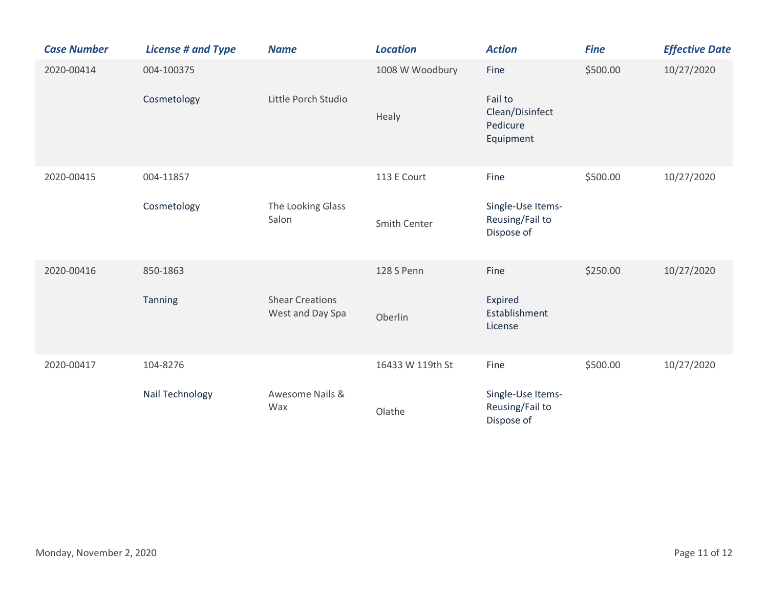| <b>Case Number</b> | <b>License # and Type</b>   | <b>Name</b>                                | <b>Location</b>             | <b>Action</b>                                               | <b>Fine</b> | <b>Effective Date</b> |
|--------------------|-----------------------------|--------------------------------------------|-----------------------------|-------------------------------------------------------------|-------------|-----------------------|
| 2020-00414         | 004-100375<br>Cosmetology   | Little Porch Studio                        | 1008 W Woodbury<br>Healy    | Fine<br>Fail to<br>Clean/Disinfect<br>Pedicure<br>Equipment | \$500.00    | 10/27/2020            |
| 2020-00415         | 004-11857<br>Cosmetology    | The Looking Glass<br>Salon                 | 113 E Court<br>Smith Center | Fine<br>Single-Use Items-<br>Reusing/Fail to<br>Dispose of  | \$500.00    | 10/27/2020            |
| 2020-00416         | 850-1863<br>Tanning         | <b>Shear Creations</b><br>West and Day Spa | 128 S Penn<br>Oberlin       | Fine<br>Expired<br>Establishment<br>License                 | \$250.00    | 10/27/2020            |
| 2020-00417         | 104-8276<br>Nail Technology | Awesome Nails &<br>Wax                     | 16433 W 119th St<br>Olathe  | Fine<br>Single-Use Items-<br>Reusing/Fail to<br>Dispose of  | \$500.00    | 10/27/2020            |